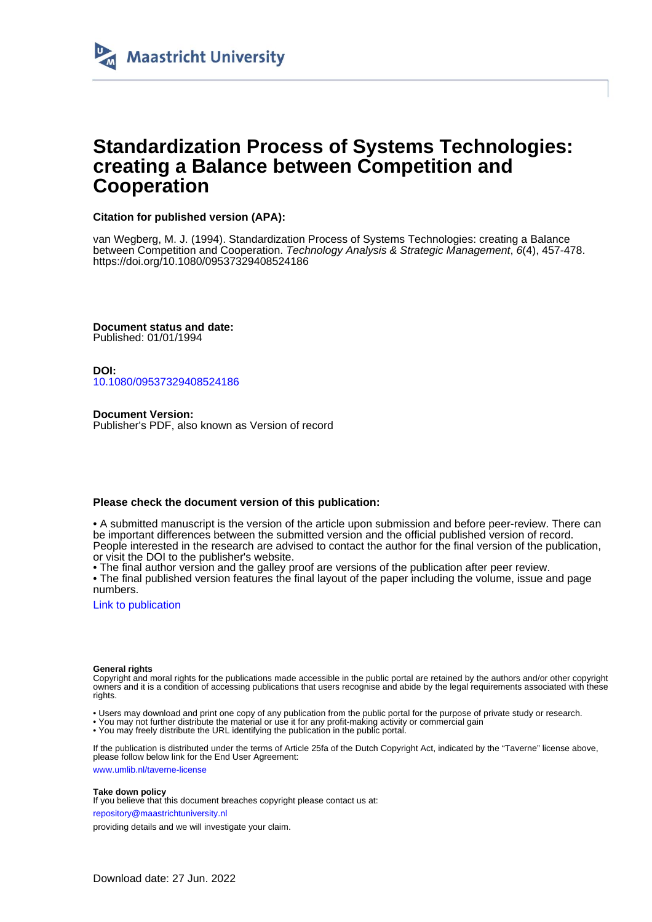

## **Standardization Process of Systems Technologies: creating a Balance between Competition and Cooperation**

### **Citation for published version (APA):**

van Wegberg, M. J. (1994). Standardization Process of Systems Technologies: creating a Balance between Competition and Cooperation. Technology Analysis & Strategic Management, 6(4), 457-478. <https://doi.org/10.1080/09537329408524186>

**Document status and date:** Published: 01/01/1994

**DOI:** [10.1080/09537329408524186](https://doi.org/10.1080/09537329408524186)

**Document Version:** Publisher's PDF, also known as Version of record

### **Please check the document version of this publication:**

• A submitted manuscript is the version of the article upon submission and before peer-review. There can be important differences between the submitted version and the official published version of record. People interested in the research are advised to contact the author for the final version of the publication, or visit the DOI to the publisher's website.

• The final author version and the galley proof are versions of the publication after peer review.

• The final published version features the final layout of the paper including the volume, issue and page numbers.

[Link to publication](https://cris.maastrichtuniversity.nl/en/publications/3e34ae73-288e-462f-bd35-cac4667f7b19)

### **General rights**

Copyright and moral rights for the publications made accessible in the public portal are retained by the authors and/or other copyright owners and it is a condition of accessing publications that users recognise and abide by the legal requirements associated with these rights.

- Users may download and print one copy of any publication from the public portal for the purpose of private study or research.
- You may not further distribute the material or use it for any profit-making activity or commercial gain
- You may freely distribute the URL identifying the publication in the public portal.

If the publication is distributed under the terms of Article 25fa of the Dutch Copyright Act, indicated by the "Taverne" license above, please follow below link for the End User Agreement:

www.umlib.nl/taverne-license

### **Take down policy**

If you believe that this document breaches copyright please contact us at: repository@maastrichtuniversity.nl

providing details and we will investigate your claim.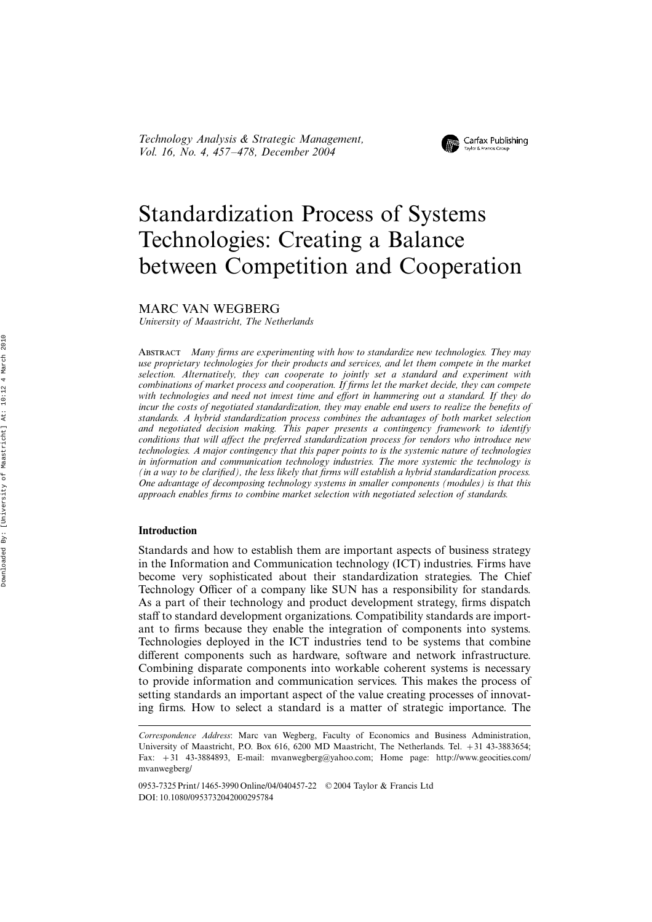*Technology Analysis & Strategic Management, Vol. 16, No. 4, 457–478, December 2004*



# Standardization Process of Systems Technologies: Creating a Balance between Competition and Cooperation

MARC VAN WEGBERG

*Uni* v*ersity of Maastricht, The Netherlands*

A *Many firms are experimenting with how to standardize new technologies. They may use proprietary technologies for their products and services, and let them compete in the market selection. Alternatively, they can cooperate to jointly set a standard and experiment with combinations of market process and cooperation. If firms let the market decide, they can compete* with technologies and need not invest time and effort in hammering out a standard. If they do *incur the costs of negotiated standardization, they may enable end users to realize the benefits of standards. A hybrid standardization process combines the ad*v*antages of both market selection and negotiated decision making. This paper presents a contingency framework to identify conditions that will affect the preferred standardization process for* v*endors who introduce new technologies. A major contingency that this paper points to is the systemic nature of technologies in information and communication technology industries. The more systemic the technology is (in a way to be clarified), the less likely that firms will establish a hybrid standardization process. One ad*v*antage of decomposing technology systems in smaller components (modules) is that this approach enables firms to combine market selection with negotiated selection of standards.*

### **Introduction**

Standards and how to establish them are important aspects of business strategy in the Information and Communication technology (ICT) industries. Firms have become very sophisticated about their standardization strategies. The Chief Technology O fficer of a company like SUN has a responsibility for standards. As a part of their technology and product development strategy, firms dispatch sta ff to standard development organizations. Compatibility standards are important to firms because they enable the integration of components into systems. Technologies deployed in the ICT industries tend to be systems that combine di fferent components such as hardware, software and network infrastructure. Combining disparate components into workable coherent systems is necessary to provide information and communication services. This makes the process of setting standards an important aspect of the value creating processes of innovating firms. How to select a standard is a matter of strategic importance. The

0953-7325 Print/ 1465-3990 Online/04/040457-22 © 2004 Taylor & Francis Ltd DOI: 10.1080/0953732042000295784

*Correspondence Address*: Marc van Wegberg, Faculty of Economics and Business Administration, University of Maastricht, P.O. Box 616, 6200 MD Maastricht, The Netherlands. Tel. +31 43-3883654; Fax: +31 43-3884893, E-mail: mvanwegberg@yahoo.com; Home page: http://www.geocities.com/ mvanwegberg/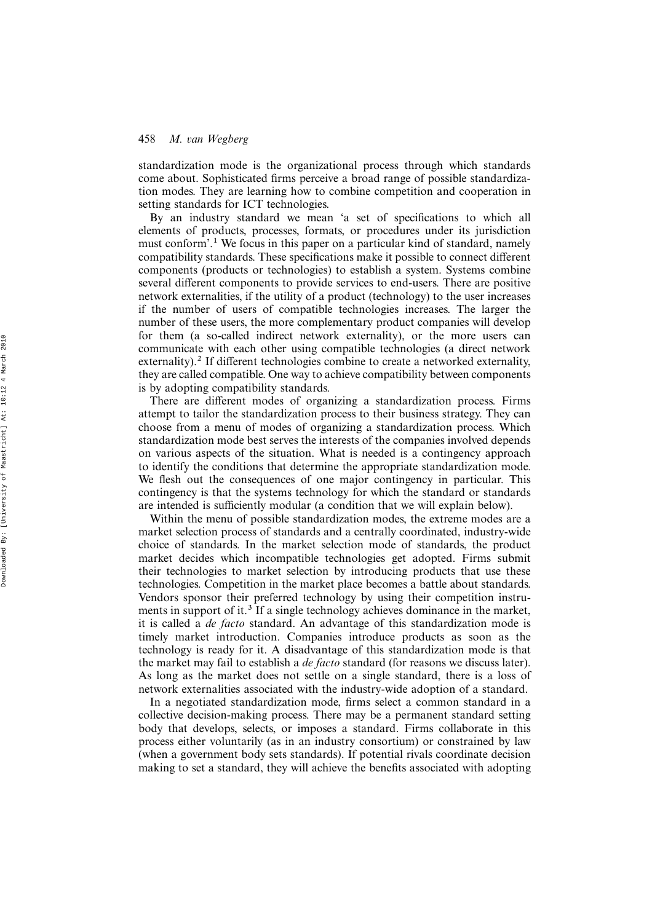### 458 *M.* v*an Wegberg*

standardization mode is the organizational process through which standards come about. Sophisticated firms perceive a broad range of possible standardization modes. They are learning how to combine competition and cooperation in setting standards for ICT technologies.

By an industry standard we mean 'a set of specifications to which all elements of products, processes, formats, or procedures under its jurisdiction must conform'. 1 We focus in this paper on a particular kind of standard, namely compatibility standards. These specifications make it possible to connect di fferent components (products or technologies) to establish a system. Systems combine several di fferent components to provide services to end-users. There are positive network externalities, if the utility of a product (technology) to the user increases if the number of users of compatible technologies increases. The larger the number of these users, the more complementary product companies will develop for them (a so-called indirect network externality), or the more users can communicate with each other using compatible technologies (a direct network externality).<sup>2</sup> If different technologies combine to create a networked externality, they are called compatible. One way to achieve compatibility between components is by adopting compatibility standards.

There are di fferent modes of organizing a standardization process. Firms attempt to tailor the standardization process to their business strategy. They can choose from a menu of modes of organizing a standardization process. Which standardization mode best serves the interests of the companies involved depends on various aspects of the situation. What is needed is a contingency approach to identify the conditions that determine the appropriate standardization mode. We flesh out the consequences of one major contingency in particular. This contingency is that the systems technology for which the standard or standards are intended is su fficiently modular (a condition that we will explain below).

Within the menu of possible standardization modes, the extreme modes are a market selection process of standards and a centrally coordinated, industry-wide choice of standards. In the market selection mode of standards, the product market decides which incompatible technologies get adopted. Firms submit their technologies to market selection by introducing products that use these technologies. Competition in the market place becomes a battle about standards. Vendors sponsor their preferred technology by using their competition instruments in support of it.<sup>3</sup> If a single technology achieves dominance in the market, it is called a *de facto* standard. An advantage of this standardization mode is timely market introduction. Companies introduce products as soon as the technology is ready for it. A disadvantage of this standardization mode is that the market may fail to establish a *de facto* standard (for reasons we discuss later). As long as the market does not settle on a single standard, there is a loss of network externalities associated with the industry-wide adoption of a standard.

In a negotiated standardization mode, firms select a common standard in a collective decision-making process. There may be a permanent standard setting body that develops, selects, or imposes a standard. Firms collaborate in this process either voluntarily (as in an industry consortium) or constrained by law (when a government body sets standards). If potential rivals coordinate decision making to set a standard, they will achieve the benefits associated with adopting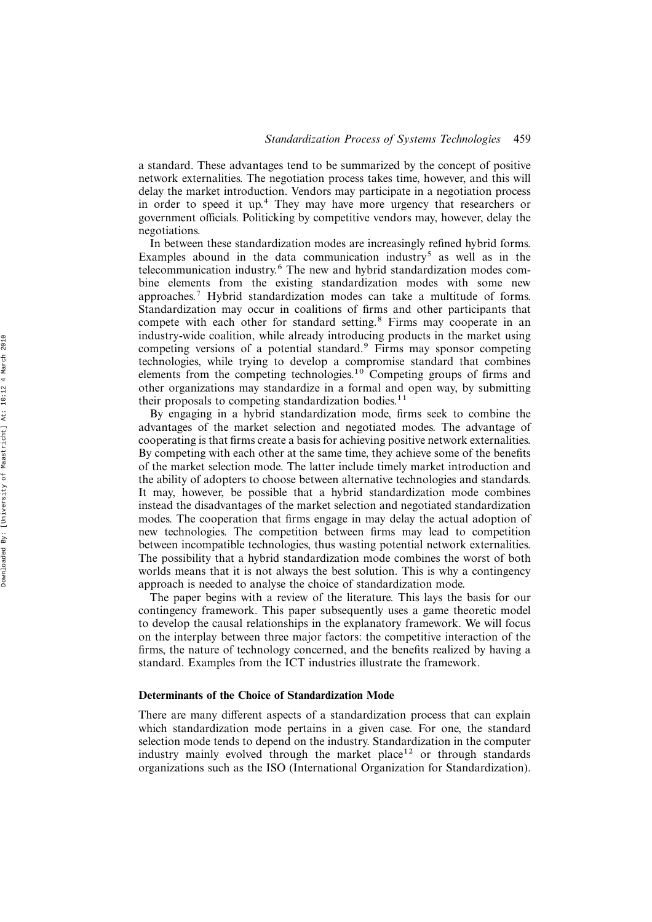a standard. These advantages tend to be summarized by the concept of positive network externalities. The negotiation process takes time, however, and this will delay the market introduction. Vendors may participate in a negotiation process in order to speed it up. 4 They may have more urgency that researchers or government o fficials. Politicking by competitive vendors may, however, delay the negotiations.

In between these standardization modes are increasingly refined hybrid forms. Examples abound in the data communication industry 5 as well as in the telecommunication industry. 6 The new and hybrid standardization modes combine elements from the existing standardization modes with some new approaches. 7 Hybrid standardization modes can take a multitude of forms. Standardization may occur in coalitions of firms and other participants that compete with each other for standard setting. 8 Firms may cooperate in an industry-wide coalition, while already introducing products in the market using competing versions of a potential standard. 9 Firms may sponsor competing technologies, while trying to develop a compromise standard that combines elements from the competing technologies.10 Competing groups of firms and other organizations may standardize in a formal and open way, by submitting their proposals to competing standardization bodies.<sup>11</sup>

By engaging in a hybrid standardization mode, firms seek to combine the advantages of the market selection and negotiated modes. The advantage of cooperating is that firms create a basis for achieving positive network externalities. By competing with each other at the same time, they achieve some of the benefits of the market selection mode. The latter include timely market introduction and the ability of adopters to choose between alternative technologies and standards. It may, however, be possible that a hybrid standardization mode combines instead the disadvantages of the market selection and negotiated standardization modes. The cooperation that firms engage in may delay the actual adoption of new technologies. The competition between firms may lead to competition between incompatible technologies, thus wasting potential network externalities. The possibility that a hybrid standardization mode combines the worst of both worlds means that it is not always the best solution. This is why a contingency approach is needed to analyse the choice of standardization mode.

The paper begins with a review of the literature. This lays the basis for our contingency framework. This paper subsequently uses a game theoretic model to develop the causal relationships in the explanatory framework. We will focus on the interplay between three major factors: the competitive interaction of the firms, the nature of technology concerned, and the benefits realized by having a standard. Examples from the ICT industries illustrate the framework.

### **Determinants of the Choice of Standardization Mode**

There are many di fferent aspects of a standardization process that can explain which standardization mode pertains in a given case. For one, the standard selection mode tends to depend on the industry. Standardization in the computer industry mainly evolved through the market place<sup>12</sup> or through standards organizations such as the ISO (International Organization for Standardization).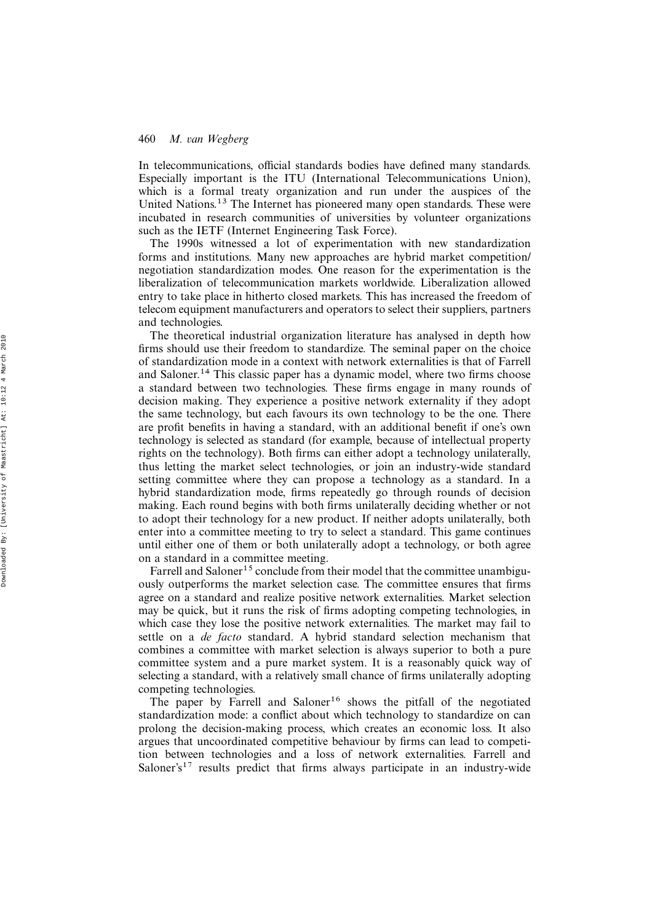In telecommunications, o fficial standards bodies have defined many standards. Especially important is the ITU (International Telecommunications Union), which is a formal treaty organization and run under the auspices of the United Nations.13 The Internet has pioneered many open standards. These were incubated in research communities of universities by volunteer organizations such as the IETF (Internet Engineering Task Force).

The 1990s witnessed a lot of experimentation with new standardization forms and institutions. Many new approaches are hybrid market competition/ negotiation standardization modes. One reason for the experimentation is the liberalization of telecommunication markets worldwide. Liberalization allowed entry to take place in hitherto closed markets. This has increased the freedom of telecom equipment manufacturers and operators to select their suppliers, partners and technologies.

The theoretical industrial organization literature has analysed in depth how firms should use their freedom to standardize. The seminal paper on the choice of standardization mode in a context with network externalities is that of Farrell and Saloner.14 This classic paper has a dynamic model, where two firms choose a standard between two technologies. These firms engage in many rounds of decision making. They experience a positive network externality if they adopt the same technology, but each favours its own technology to be the one. There are profit benefits in having a standard, with an additional benefit if one's own technology is selected as standard (for example, because of intellectual property rights on the technology). Both firms can either adopt a technology unilaterally, thus letting the market select technologies, or join an industry-wide standard setting committee where they can propose a technology as a standard. In a hybrid standardization mode, firms repeatedly go through rounds of decision making. Each round begins with both firms unilaterally deciding whether or not to adopt their technology for a new product. If neither adopts unilaterally, both enter into a committee meeting to try to select a standard. This game continues until either one of them or both unilaterally adopt a technology, or both agree on a standard in a committee meeting.

Farrell and Saloner<sup>15</sup> conclude from their model that the committee unambiguously outperforms the market selection case. The committee ensures that firms agree on a standard and realize positive network externalities. Market selection may be quick, but it runs the risk of firms adopting competing technologies, in which case they lose the positive network externalities. The market may fail to settle on a *de facto* standard. A hybrid standard selection mechanism that combines a committee with market selection is always superior to both a pure committee system and a pure market system. It is a reasonably quick way of selecting a standard, with a relatively small chance of firms unilaterally adopting competing technologies.

The paper by Farrell and Saloner<sup>16</sup> shows the pitfall of the negotiated standardization mode: a conflict about which technology to standardize on can prolong the decision-making process, which creates an economic loss. It also argues that uncoordinated competitive behaviour by firms can lead to competition between technologies and a loss of network externalities. Farrell and Saloner's<sup>17</sup> results predict that firms always participate in an industry-wide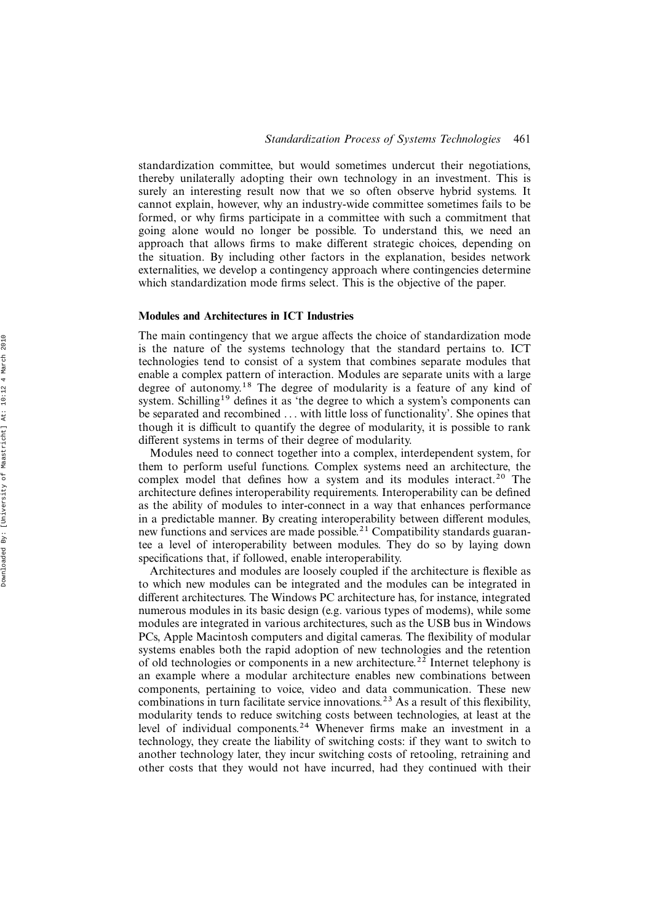standardization committee, but would sometimes undercut their negotiations, thereby unilaterally adopting their own technology in an investment. This is surely an interesting result now that we so often observe hybrid systems. It cannot explain, however, why an industry-wide committee sometimes fails to be formed, or why firms participate in a committee with such a commitment that going alone would no longer be possible. To understand this, we need an approach that allows firms to make di fferent strategic choices, depending on the situation. By including other factors in the explanation, besides network externalities, we develop a contingency approach where contingencies determine which standardization mode firms select. This is the objective of the paper.

### **Modules and Architectures in ICT Industries**

The main contingency that we argue a ffects the choice of standardization mode is the nature of the systems technology that the standard pertains to. ICT technologies tend to consist of a system that combines separate modules that enable a complex pattern of interaction. Modules are separate units with a large degree of autonomy.18 The degree of modularity is a feature of any kind of system. Schilling<sup>19</sup> defines it as 'the degree to which a system's components can be separated and recombined . . . with little loss of functionality'. She opines that though it is di fficult to quantify the degree of modularity, it is possible to rank di fferent systems in terms of their degree of modularity.

Modules need to connect together into a complex, interdependent system, for them to perform useful functions. Complex systems need an architecture, the complex model that defines how a system and its modules interact.<sup>20</sup> The architecture defines interoperability requirements. Interoperability can be defined as the ability of modules to inter-connect in a way that enhances performance in a predictable manner. By creating interoperability between different modules, new functions and services are made possible.<sup>21</sup> Compatibility standards guarantee a level of interoperability between modules. They do so by laying down specifications that, if followed, enable interoperability.

Architectures and modules are loosely coupled if the architecture is flexible as to which new modules can be integrated and the modules can be integrated in di fferent architectures. The Windows PC architecture has, for instance, integrated numerous modules in its basic design (e.g. various types of modems), while some modules are integrated in various architectures, such as the USB bus in Windows PCs, Apple Macintosh computers and digital cameras. The flexibility of modular systems enables both the rapid adoption of new technologies and the retention of old technologies or components in a new architecture.<sup>22</sup> Internet telephony is an example where a modular architecture enables new combinations between components, pertaining to voice, video and data communication. These new combinations in turn facilitate service innovations.23 As a result of this flexibility, modularity tends to reduce switching costs between technologies, at least at the level of individual components.24 Whenever firms make an investment in a technology, they create the liability of switching costs: if they want to switch to another technology later, they incur switching costs of retooling, retraining and other costs that they would not have incurred, had they continued with their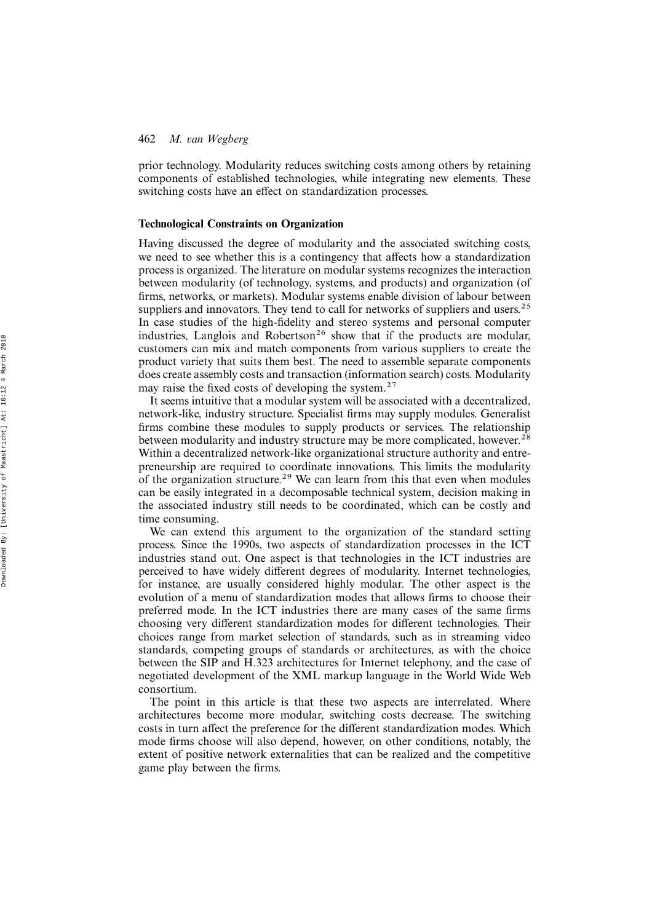prior technology. Modularity reduces switching costs among others by retaining components of established technologies, while integrating new elements. These switching costs have an e ffect on standardization processes.

### **Technological Constraints on Organization**

Having discussed the degree of modularity and the associated switching costs, we need to see whether this is a contingency that a ffects how a standardization process is organized. The literature on modular systems recognizes the interaction between modularity (of technology, systems, and products) and organization (of firms, networks, or markets). Modular systems enable division of labour between suppliers and innovators. They tend to call for networks of suppliers and users.<sup>25</sup> In case studies of the high-fidelity and stereo systems and personal computer industries, Langlois and Robertson<sup>26</sup> show that if the products are modular, customers can mix and match components from various suppliers to create the product variety that suits them best. The need to assemble separate components does create assembly costs and transaction (information search) costs. Modularity may raise the fixed costs of developing the system.<sup>27</sup>

It seems intuitive that a modular system will be associated with a decentralized, network-like, industry structure. Specialist firms may supply modules. Generalist firms combine these modules to supply products or services. The relationship between modularity and industry structure may be more complicated, however.<sup>28</sup> Within a decentralized network-like organizational structure authority and entrepreneurship are required to coordinate innovations. This limits the modularity of the organization structure.<sup>29</sup> We can learn from this that even when modules can be easily integrated in a decomposable technical system, decision making in the associated industry still needs to be coordinated, which can be costly and time consuming.

We can extend this argument to the organization of the standard setting process. Since the 1990s, two aspects of standardization processes in the ICT industries stand out. One aspect is that technologies in the ICT industries are perceived to have widely di fferent degrees of modularity. Internet technologies, for instance, are usually considered highly modular. The other aspect is the evolution of a menu of standardization modes that allows firms to choose their preferred mode. In the ICT industries there are many cases of the same firms choosing very di fferent standardization modes for di fferent technologies. Their choices range from market selection of standards, such as in streaming video standards, competing groups of standards or architectures, as with the choice between the SIP and H.323 architectures for Internet telephony, and the case of negotiated development of the XML markup language in the World Wide Web consortium.

The point in this article is that these two aspects are interrelated. Where architectures become more modular, switching costs decrease. The switching costs in turn a ffect the preference for the di fferent standardization modes. Which mode firms choose will also depend, however, on other conditions, notably, the extent of positive network externalities that can be realized and the competitive game play between the firms.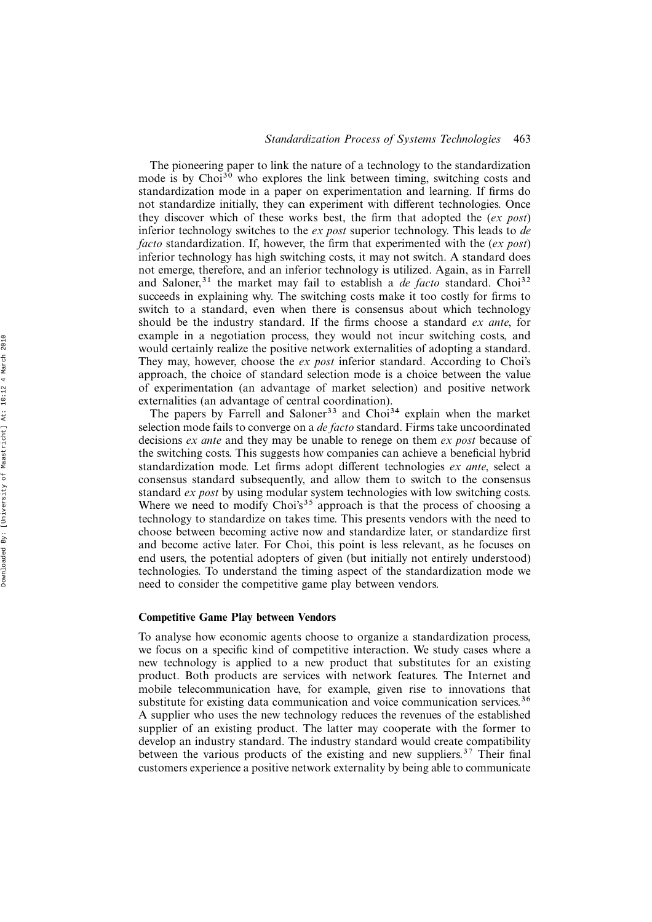The pioneering paper to link the nature of a technology to the standardization mode is by Choi<sup>30</sup> who explores the link between timing, switching costs and standardization mode in a paper on experimentation and learning. If firms do not standardize initially, they can experiment with di fferent technologies. Once they discover which of these works best, the firm that adopted the (*ex post* ) inferior technology switches to the *ex post* superior technology. This leads to *de facto* standardization. If, however, the firm that experimented with the (*ex post* ) inferior technology has high switching costs, it may not switch. A standard does not emerge, therefore, and an inferior technology is utilized. Again, as in Farrell and Saloner,<sup>31</sup> the market may fail to establish a *de facto* standard. Choi<sup>32</sup> succeeds in explaining why. The switching costs make it too costly for firms to switch to a standard, even when there is consensus about which technology should be the industry standard. If the firms choose a standard *ex ante*, for example in a negotiation process, they would not incur switching costs, and would certainly realize the positive network externalities of adopting a standard. They may, however, choose the *ex post* inferior standard. According to Choi's approach, the choice of standard selection mode is a choice between the value of experimentation (an advantage of market selection) and positive network externalities (an advantage of central coordination).

The papers by Farrell and Saloner<sup>33</sup> and Choi<sup>34</sup> explain when the market selection mode fails to converge on a *de facto* standard. Firms take uncoordinated decisions *ex ante* and they may be unable to renege on them *ex post* because of the switching costs. This suggests how companies can achieve a beneficial hybrid standardization mode. Let firms adopt di fferent technologies *ex ante*, select a consensus standard subsequently, and allow them to switch to the consensus standard *ex post* by using modular system technologies with low switching costs. Where we need to modify  $Choi's<sup>35</sup>$  approach is that the process of choosing a technology to standardize on takes time. This presents vendors with the need to choose between becoming active now and standardize later, or standardize first and become active later. For Choi, this point is less relevant, as he focuses on end users, the potential adopters of given (but initially not entirely understood) technologies. To understand the timing aspect of the standardization mode we need to consider the competitive game play between vendors.

### **Competitive Game Play between Vendors**

To analyse how economic agents choose to organize a standardization process, we focus on a specific kind of competitive interaction. We study cases where a new technology is applied to a new product that substitutes for an existing product. Both products are services with network features. The Internet and mobile telecommunication have, for example, given rise to innovations that substitute for existing data communication and voice communication services.<sup>36</sup> A supplier who uses the new technology reduces the revenues of the established supplier of an existing product. The latter may cooperate with the former to develop an industry standard. The industry standard would create compatibility between the various products of the existing and new suppliers.<sup>37</sup> Their final customers experience a positive network externality by being able to communicate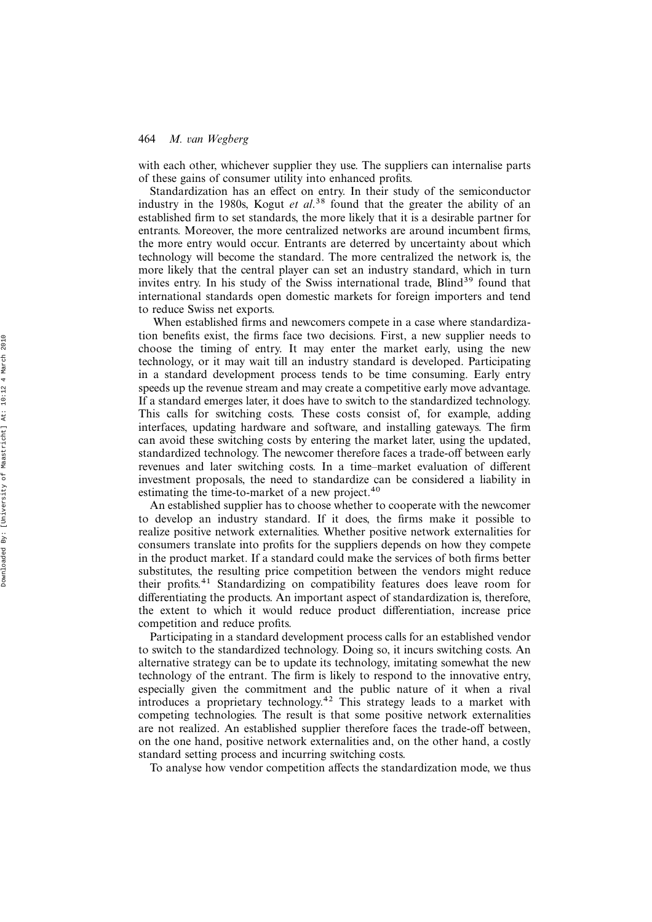with each other, whichever supplier they use. The suppliers can internalise parts of these gains of consumer utility into enhanced profits.

Standardization has an e ffect on entry. In their study of the semiconductor industry in the 1980s, Kogut *et al* .38 found that the greater the ability of an established firm to set standards, the more likely that it is a desirable partner for entrants. Moreover, the more centralized networks are around incumbent firms, the more entry would occur. Entrants are deterred by uncertainty about which technology will become the standard. The more centralized the network is, the more likely that the central player can set an industry standard, which in turn invites entry. In his study of the Swiss international trade, Blind<sup>39</sup> found that international standards open domestic markets for foreign importers and tend to reduce Swiss net exports.

When established firms and newcomers compete in a case where standardization benefits exist, the firms face two decisions. First, a new supplier needs to choose the timing of entry. It may enter the market early, using the new technology, or it may wait till an industry standard is developed. Participating in a standard development process tends to be time consuming. Early entry speeds up the revenue stream and may create a competitive early move advantage. If a standard emerges later, it does have to switch to the standardized technology. This calls for switching costs. These costs consist of, for example, adding interfaces, updating hardware and software, and installing gateways. The firm can avoid these switching costs by entering the market later, using the updated, standardized technology. The newcomer therefore faces a trade-o ff between early revenues and later switching costs. In a time–market evaluation of di fferent investment proposals, the need to standardize can be considered a liability in estimating the time-to-market of a new project.<sup>40</sup>

An established supplier has to choose whether to cooperate with the newcomer to develop an industry standard. If it does, the firms make it possible to realize positive network externalities. Whether positive network externalities for consumers translate into profits for the suppliers depends on how they compete in the product market. If a standard could make the services of both firms better substitutes, the resulting price competition between the vendors might reduce their profits.41 Standardizing on compatibility features does leave room for di fferentiating the products. An important aspect of standardization is, therefore, the extent to which it would reduce product di fferentiation, increase price competition and reduce profits.

Participating in a standard development process calls for an established vendor to switch to the standardized technology. Doing so, it incurs switching costs. An alternative strategy can be to update its technology, imitating somewhat the new technology of the entrant. The firm is likely to respond to the innovative entry, especially given the commitment and the public nature of it when a rival introduces a proprietary technology.42 This strategy leads to a market with competing technologies. The result is that some positive network externalities are not realized. An established supplier therefore faces the trade-o ff between, on the one hand, positive network externalities and, on the other hand, a costly standard setting process and incurring switching costs.

To analyse how vendor competition a ffects the standardization mode, we thus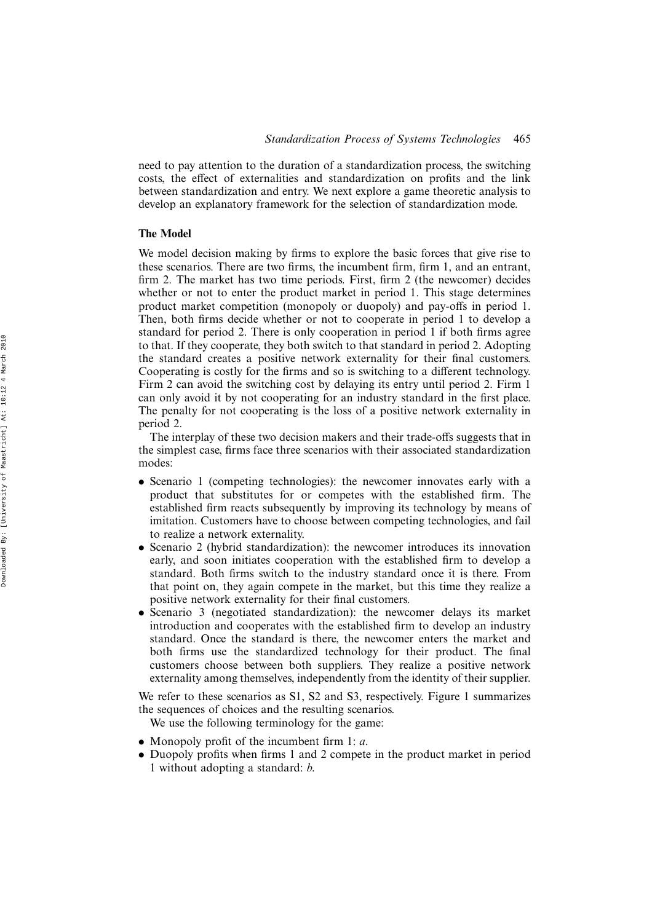need to pay attention to the duration of a standardization process, the switching costs, the e ffect of externalities and standardization on profits and the link between standardization and entry. We next explore a game theoretic analysis to develop an explanatory framework for the selection of standardization mode.

### **The Model**

We model decision making by firms to explore the basic forces that give rise to these scenarios. There are two firms, the incumbent firm, firm 1, and an entrant, firm 2. The market has two time periods. First, firm 2 (the newcomer) decides whether or not to enter the product market in period 1. This stage determines product market competition (monopoly or duopoly) and pay-o ffs in period 1. Then, both firms decide whether or not to cooperate in period 1 to develop a standard for period 2. There is only cooperation in period 1 if both firms agree to that. If they cooperate, they both switch to that standard in period 2. Adopting the standard creates a positive network externality for their final customers. Cooperating is costly for the firms and so is switching to a di fferent technology. Firm 2 can avoid the switching cost by delaying its entry until period 2. Firm 1 can only avoid it by not cooperating for an industry standard in the first place. The penalty for not cooperating is the loss of a positive network externality in period 2.

The interplay of these two decision makers and their trade-o ffs suggests that in the simplest case, firms face three scenarios with their associated standardization modes:

- Scenario 1 (competing technologies): the newcomer innovates early with a product that substitutes for or competes with the established firm. The established firm reacts subsequently by improving its technology by means of imitation. Customers have to choose between competing technologies, and fail to realize a network externality.
- Ω Scenario 2 (hybrid standardization): the newcomer introduces its innovation early, and soon initiates cooperation with the established firm to develop a standard. Both firms switch to the industry standard once it is there. From that point on, they again compete in the market, but this time they realize a positive network externality for their final customers.
- Scenario 3 (negotiated standardization): the newcomer delays its market introduction and cooperates with the established firm to develop an industry standard. Once the standard is there, the newcomer enters the market and both firms use the standardized technology for their product. The final customers choose between both suppliers. They realize a positive network externality among themselves, independently from the identity of their supplier.

We refer to these scenarios as S1, S2 and S3, respectively. Figure 1 summarizes the sequences of choices and the resulting scenarios.

We use the following terminology for the game:

- Monopoly profit of the incumbent firm 1: *a*.
- Duopoly profits when firms 1 and 2 compete in the product market in period 1 without adopting a standard: *b* .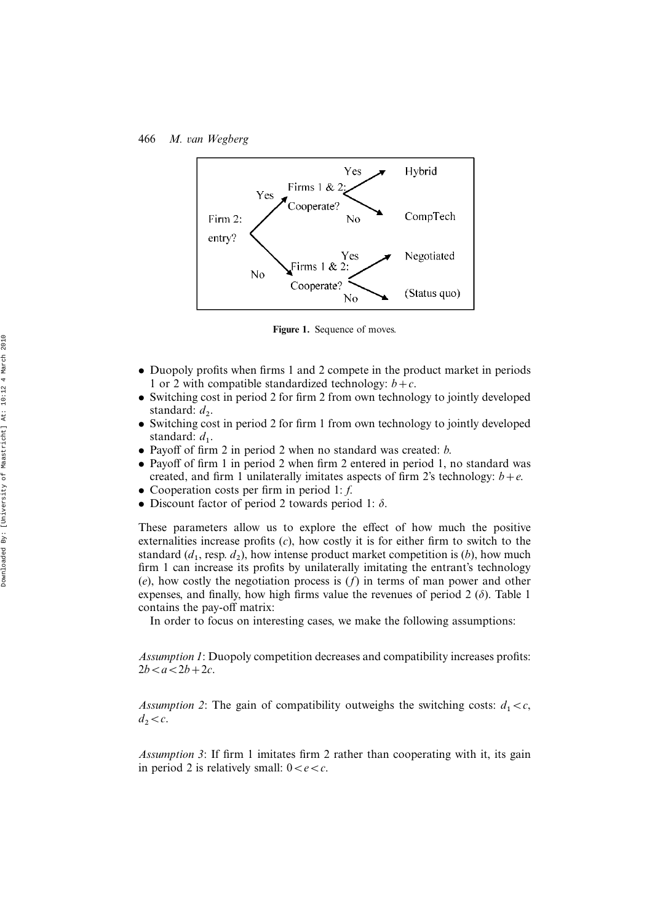466 *M.* v*an Wegberg*



Figure 1. Sequence of moves.

- Duopoly profits when firms 1 and 2 compete in the product market in periods 1 or 2 with compatible standardized technology:  $b+c$ .
- Ω Switching cost in period 2 for firm 2 from own technology to jointly developed standard: *d* .
- Switching cost in period 2 for firm 1 from own technology to jointly developed standard: *d* .
- Payoff of firm 2 in period 2 when no standard was created: *b*.
- Ω Payoff of firm 1 in period 2 when firm 2 entered in period 1, no standard was created, and firm 1 unilaterally imitates aspects of firm 2's technology:  $b + e$ .
- Ω Cooperation costs per firm in period 1: *f*.
- Discount factor of period 2 towards period 1:  $\delta$ .

These parameters allow us to explore the effect of how much the positive externalities increase profits (*c*), how costly it is for either firm to switch to the standard  $(d_1, \text{resp. } d_2)$ , how intense product market competition is  $(b)$ , how much  $\lim_{n \to \infty} 1$  can increase its profits by unilaterally imitating the entrant's technology (*e*), how costly the negotiation process is (*f*) in terms of man power and other expenses, and finally, how high firms value the revenues of period 2  $(\delta)$ . Table 1 contains the pay-off matrix:

In order to focus on interesting cases, we make the following assumptions:

*Assumption 1*: Duopoly competition decreases and compatibility increases profits:  $2b < a < 2b + 2c$ .

*Assumption 2*: The gain of compatibility outweighs the switching costs:  $d_1 < c$ ,  $d_2 < c$ .

*Assumption 3*: If firm 1 imitates firm 2 rather than cooperating with it, its gain in period 2 is relatively small:  $0 < e < c$ .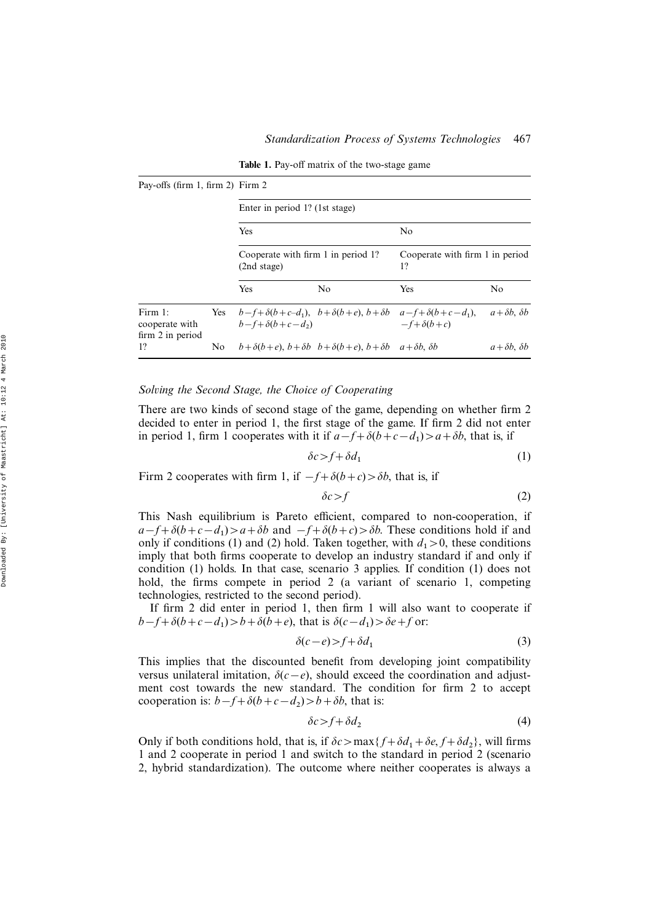| Pay-offs (firm 1, firm 2) Firm 2 |     |                                                   |    |                                                                                             |                                                                                                 |                             |  |
|----------------------------------|-----|---------------------------------------------------|----|---------------------------------------------------------------------------------------------|-------------------------------------------------------------------------------------------------|-----------------------------|--|
|                                  |     | Enter in period 1? (1st stage)                    |    |                                                                                             |                                                                                                 |                             |  |
|                                  |     | Yes                                               |    | N <sub>0</sub>                                                                              |                                                                                                 |                             |  |
|                                  |     | Cooperate with firm 1 in period 1?<br>(2nd stage) |    | Cooperate with firm 1 in period<br>1?                                                       |                                                                                                 |                             |  |
|                                  |     | Yes                                               | No |                                                                                             | Yes                                                                                             | No                          |  |
| Firm $1$ :<br>cooperate with     |     | $b-f+\delta(b+c-d_2)$                             |    |                                                                                             | Yes $b-f+\delta(b+c-d_1), b+\delta(b+e), b+\delta b$ $a-f+\delta(b+c-d_1),$<br>$-f+\delta(b+c)$ | $a + \delta b$ , $\delta b$ |  |
| firm 2 in period<br>1?           | No. |                                                   |    | $b+\delta(b+e)$ , $b+\delta b$ , $b+\delta(b+e)$ , $b+\delta b$ , $a+\delta b$ , $\delta b$ |                                                                                                 | $a + \delta b$ , $\delta b$ |  |

**Table 1.** Pay-off matrix of the two-stage game

### *Sol*v*ing the Second Stage, the Choice of Cooperating*

There are two kinds of second stage of the game, depending on whether firm 2 decided to enter in period 1, the first stage of the game. If firm 2 did not enter in period 1, firm 1 cooperates with it if  $a-f+\delta(b+c-d_1) > a+\delta b$ , that is, if

$$
\delta c > f + \delta d_1 \tag{1}
$$

Firm 2 cooperates with firm 1, if  $-f+\delta(b+c) > \delta b$ , that is, if

$$
\delta c > f \tag{2}
$$

This Nash equilibrium is Pareto efficient, compared to non-cooperation, if  $a-f+\delta(b+c-d_1) > a+\delta b$  and  $-f+\delta(b+c) > \delta b$ . These conditions hold if and and  $f(x) = a_1/x a_1'$  or and  $f'(x) = b_1(x) + b_2(x)$ . These conditions field in and only if conditions (1) and (2) hold. Taken together, with  $d_1 > 0$ , these conditions imply that both firms cooperate to develop an industry standard if and only if condition (1) holds. In that case, scenario 3 applies. If condition (1) does not hold, the firms compete in period 2 (a variant of scenario 1, competing technologies, restricted to the second period).

If firm 2 did enter in period 1, then firm 1 will also want to cooperate if  $b - f + \delta(b + c - d_1) > b + \delta(b + e)$ , that is  $\delta(c - d_1) > \delta e + f$  or:

$$
\delta(c-e) > f + \delta d_1 \tag{3}
$$

This implies that the discounted benefit from developing joint compatibility versus unilateral imitation,  $\delta(c-e)$ , should exceed the coordination and adjustment cost towards the new standard. The condition for firm 2 to accept cooperation is:  $b-f+\delta(b+c-d_2) > b+\delta b$ , that is:

$$
\delta c > f + \delta d_2 \tag{4}
$$

Only if both conditions hold, that is, if  $\delta c > \max\{ f + \delta d_1 + \delta e, f + \delta d_2 \}$ , will firms 1 and 2 connecte in period 1 and witch to the standard in period 2 (connection 1 and 2 cooperate in period 1 and switch to the standard in period 2 (scenario 2, hybrid standardization). The outcome where neither cooperates is always a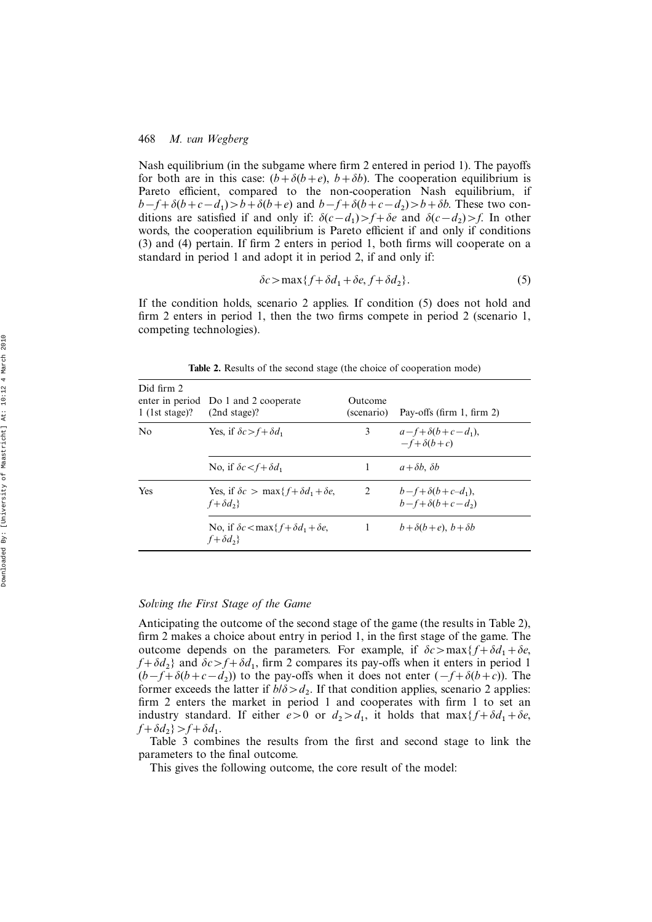Nash equilibrium (in the subgame where firm 2 entered in period 1). The payo ffs for both are in this case:  $(b+\delta(b+e), b+\delta b)$ . The cooperation equilibrium is Pareto efficient, compared to the non-cooperation Nash equilibrium, if  $b - f + \delta(b + c - d_1) > b + \delta(b + e)$  and  $b - f + \delta(b + c - d_2) > b + \delta b$ . These two conditions are satisfied if and only if:  $\delta(c-d_1) > f + \delta e$  and  $\delta(c-d_2) > f$ . In other words, the cooperation equilibrium is Pareto e fficient if and only if conditions (3) and (4) pertain. If firm 2 enters in period 1, both firms will cooperate on a standard in period 1 and adopt it in period 2, if and only if:

$$
\delta c > \max\{f + \delta d_1 + \delta e, f + \delta d_2\}.
$$
 (5)

If the condition holds, scenario 2 applies. If condition (5) does not hold and firm 2 enters in period 1, then the two firms compete in period 2 (scenario 1, competing technologies).

| Did firm 2<br>1 (1st stage)? | enter in period Do 1 and 2 cooperate<br>(2nd stage)?                      | Outcome<br>(scenario) | Pay-offs (firm 1, firm 2)                     |
|------------------------------|---------------------------------------------------------------------------|-----------------------|-----------------------------------------------|
| N <sub>0</sub>               | Yes, if $\delta c > f + \delta d_1$                                       | 3 <sup>1</sup>        | $a-f+\delta(b+c-d_1)$<br>$-f+\delta(b+c)$     |
|                              | No, if $\delta c < f + \delta d_1$                                        | 1                     | $a + \delta b$ , $\delta b$                   |
| Yes                          | Yes, if $\delta c > \max\{f + \delta d, + \delta e,$<br>$f + \delta d_2$  | 2                     | $b-f+\delta(b+c-d_1),$<br>$b-f+\delta(b+c-d)$ |
|                              | No, if $\delta c < \max\{f + \delta d_1 + \delta e$ ,<br>$f + \delta d_2$ | $\mathbf{1}$          | $b+\delta(b+e)$ , $b+\delta b$                |

**Table 2.** Results of the second stage (the choice of cooperation mode)

### *Sol* v*ing the First Stage of the Game*

Anticipating the outcome of the second stage of the game (the results in Table 2), firm 2 makes a choice about entry in period 1, in the first stage of the game. The outcome depends on the parameters. For example, if  $\delta c > \max\{f + \delta d_1 + \delta e,$  $f + \delta d_2$  and  $\delta c > f + \delta d_1$ , firm 2 compares its pay-offs when it enters in period 1  $(b-f+\delta(b+c-d_2))$  to the pay-offs when it does not enter  $(-f+\delta(b+c))$ . The former exceeds the latter if  $b/\delta > d_2$ . If that condition applies, scenario 2 applies: firm 2 enters the market in period 1 and cooperates with firm 1 to set an industry standard. If either  $e > 0$  or  $d_2 > d_1$ , it holds that  $\max\{f + \delta d_1 + \delta e,$ <br> $f \in \mathcal{S}_d$  $f + \delta d_2$ } >  $f + \delta d_1$ .

Table 3 combines the results from the first and second stage to link the parameters to the final outcome.

This gives the following outcome, the core result of the model: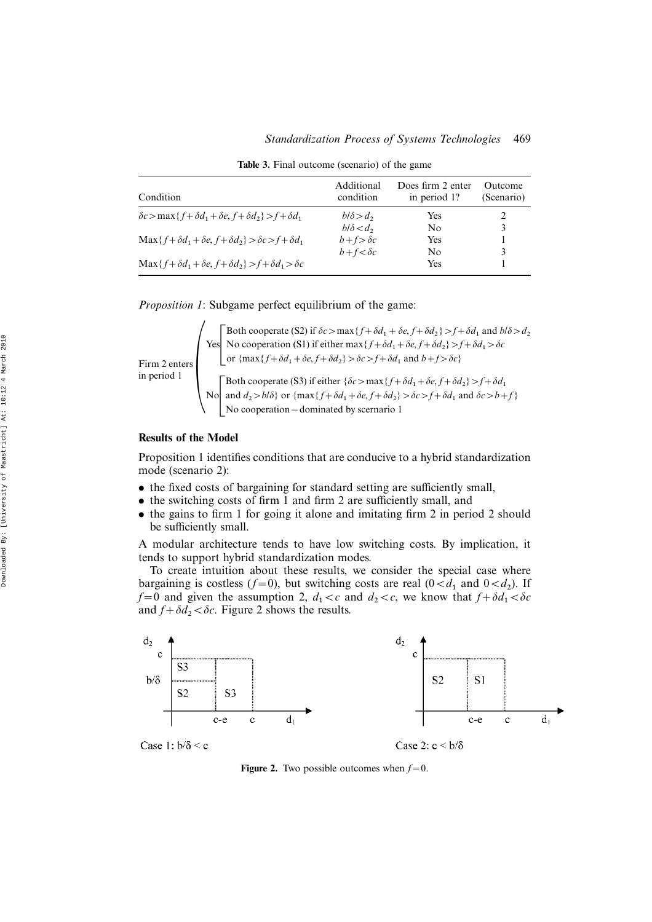| Condition                                                                             | Additional<br>condition | Does firm 2 enter<br>in period 1? | Outcome<br>(Scenario) |
|---------------------------------------------------------------------------------------|-------------------------|-----------------------------------|-----------------------|
| $\delta c$ > max{ $f + \delta d_1 + \delta e$ , $f + \delta d_2$ } > $f + \delta d_1$ | $b/\delta > d_2$        | Yes                               | 2                     |
|                                                                                       | $b/\delta < d_2$        | No                                | 3                     |
| $\text{Max}\{f + \delta d_1 + \delta e, f + \delta d_2\} > \delta c > f + \delta d_1$ | $b+f > \delta c$        | Yes                               |                       |
|                                                                                       | $b+f < \delta c$        | No                                | 3                     |
| $\text{Max}\{f + \delta d_1 + \delta e, f + \delta d_2\} > f + \delta d_1 > \delta c$ |                         | Yes                               |                       |

**Table 3.** Final outcome (scenario) of the game

*Proposition 1*: Subgame perfect equilibrium of the game:

Firm 2 enters<br>
in period 1 Yes<sup>-</sup> Both cooperate (S2) if  $\delta c > \max\{f + \delta d_1 + \delta e, f + \delta d_2\} > f + \delta d_1$  and  $b/\delta > d_2$ <br>No cooperation (S1) if either  $\max\{f + \delta d_1 + \delta e, f + \delta d_2\} > f + \delta d_1 > \delta c$ or  $\{\max\{f + \delta d_1 + \delta e, f + \delta d_2\} > \delta c > f + \delta d_1$  and  $b + f > \delta c\}$  $\begin{bmatrix} N_0 \\ \end{bmatrix}$ Both cooperate (S3) if either  $\{\delta c > \max\{f + \delta d_1 + \delta e, f + \delta d_2\} > f + \delta d_1$ <br>and  $d_2 > b/\delta\}$  or  $\{\max\{f + \delta d_1 + \delta e, f + \delta d_2\} > \delta c > f + \delta d_1$  and  $\delta c > b + f\}$ <br>No cooperation – dominated by scernario 1

# **Results of the Model**

Proposition 1 identifies conditions that are conducive to a hybrid standardization mode (scenario 2):

- the fixed costs of bargaining for standard setting are sufficiently small,
- the switching costs of firm 1 and firm 2 are sufficiently small, and
- the gains to firm 1 for going it alone and imitating firm 2 in period 2 should be sufficiently small.

A modular architecture tends to have low switching costs. By implication, it tends to support hybrid standardization modes.

To create intuition about these results, we consider the special case where bargaining is costless  $(f=0)$ , but switching costs are real  $(0< d_1$  and  $0< d_2)$ . If  $f=0$  and given the assumption 2,  $d_1 < c$  and  $d_2 < c$ , we know that  $f + \delta d_1 < \delta c$ <br>and  $f + \delta d_1 < \delta c$ . Figure 2 shows the results and  $f + \delta d_2 < \delta c$ . Figure 2 shows the results.



Case 1:  $b/\delta < c$ 

Case 2:  $c < b/\delta$ 

**Figure 2.** Two possible outcomes when  $f=0$ .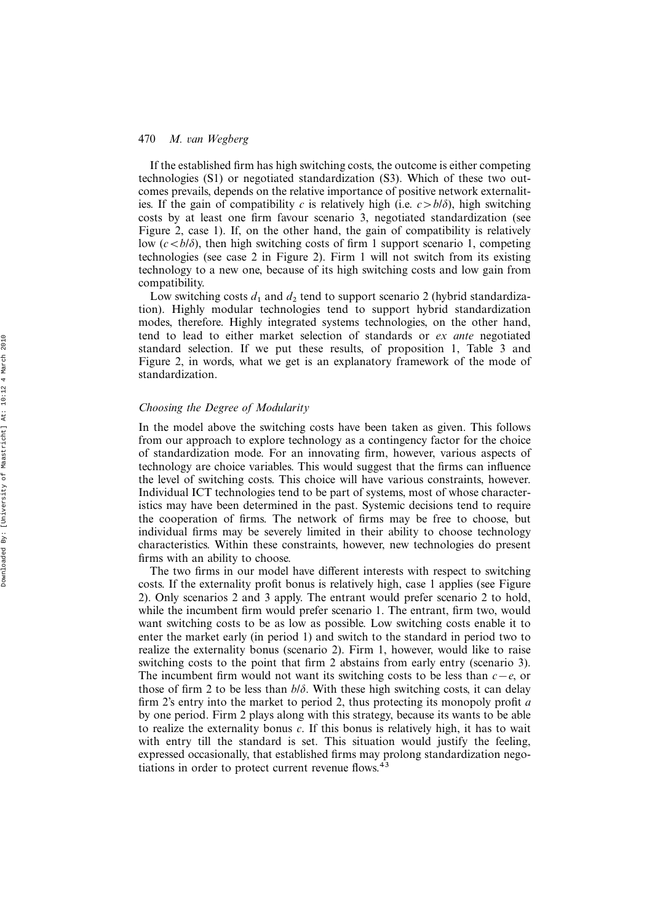### 470 *M.* v*an Wegberg*

If the established firm has high switching costs, the outcome is either competing technologies (S1) or negotiated standardization (S3). Which of these two outcomes prevails, depends on the relative importance of positive network externalities. If the gain of compatibility *c* is relatively high (i.e.  $c > b/\delta$ ), high switching costs by at least one firm favour scenario 3, negotiated standardization (see Figure 2, case 1). If, on the other hand, the gain of compatibility is relatively low  $(c \lt b/\delta)$ , then high switching costs of firm 1 support scenario 1, competing technologies (see case 2 in Figure 2). Firm 1 will not switch from its existing technology to a new one, because of its high switching costs and low gain from compatibility.

Low switching costs  $d_1$  and  $d_2$  tend to support scenario 2 (hybrid standardiza-<br> **Lighly modular technologies tend to support hybrid standardization** tion). Highly modular technologies tend to support hybrid standardization modes, therefore. Highly integrated systems technologies, on the other hand, tend to lead to either market selection of standards or *ex ante* negotiated standard selection. If we put these results, of proposition 1, Table 3 and Figure 2, in words, what we get is an explanatory framework of the mode of standardization.

### *Choosing the Degree of Modularity*

In the model above the switching costs have been taken as given. This follows from our approach to explore technology as a contingency factor for the choice of standardization mode. For an innovating firm, however, various aspects of technology are choice variables. This would suggest that the firms can influence the level of switching costs. This choice will have various constraints, however. Individual ICT technologies tend to be part of systems, most of whose characteristics may have been determined in the past. Systemic decisions tend to require the cooperation of firms. The network of firms may be free to choose, but individual firms may be severely limited in their ability to choose technology characteristics. Within these constraints, however, new technologies do present firms with an ability to choose.

The two firms in our model have di fferent interests with respect to switching costs. If the externality profit bonus is relatively high, case 1 applies (see Figure 2). Only scenarios 2 and 3 apply. The entrant would prefer scenario 2 to hold, while the incumbent firm would prefer scenario 1. The entrant, firm two, would want switching costs to be as low as possible. Low switching costs enable it to enter the market early (in period 1) and switch to the standard in period two to realize the externality bonus (scenario 2). Firm 1, however, would like to raise switching costs to the point that firm 2 abstains from early entry (scenario 3). The incumbent firm would not want its switching costs to be less than  $c - e$ , or those of firm 2 to be less than  $b/\delta$ . With these high switching costs, it can delay firm 2's entry into the market to period 2, thus protecting its monopoly profit *a* by one period. Firm 2 plays along with this strategy, because its wants to be able to realize the externality bonus *c*. If this bonus is relatively high, it has to wait with entry till the standard is set. This situation would justify the feeling, expressed occasionally, that established firms may prolong standardization negotiations in order to protect current revenue flows. $43$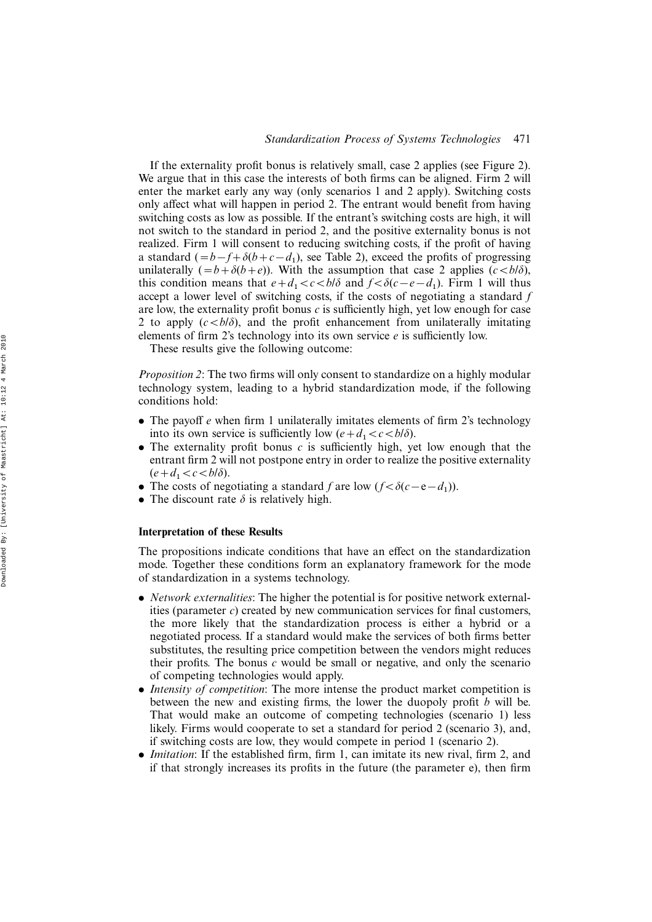If the externality profit bonus is relatively small, case 2 applies (see Figure 2). We argue that in this case the interests of both firms can be aligned. Firm 2 will enter the market early any way (only scenarios 1 and 2 apply). Switching costs only a ffect what will happen in period 2. The entrant would benefit from having switching costs as low as possible. If the entrant's switching costs are high, it will not switch to the standard in period 2, and the positive externality bonus is not realized. Firm 1 will consent to reducing switching costs, if the profit of having a standard  $(=b-f+\delta(b+c-d_1))$ , see Table 2), exceed the profits of progressing unilaterally  $(=b + \delta(b + e))$ . With the assumption that case 2 applies  $(c < b/\delta)$ , this condition means that  $e + d_1 < c < b/\delta$  and  $f < \delta(c - e - d_1)$ . Firm 1 will thus accept a lower level of switching costs, if the costs of negotiating a standard  $f$ are low, the externality profit bonus  $c$  is sufficiently high, yet low enough for case 2 to apply  $(c < b/\delta)$ , and the profit enhancement from unilaterally imitating elements of firm 2's technology into its own service *e* is su fficiently low.

These results give the following outcome:

*Proposition 2*: The two firms will only consent to standardize on a highly modular technology system, leading to a hybrid standardization mode, if the following conditions hold:

- The payoff *e* when firm 1 unilaterally imitates elements of firm 2's technology into its own service is sufficiently low  $(e + d_1 < c < b/\delta)$ .
- The externality profit bonus *c* is sufficiently high, yet low enough that the entrant firm 2 will not postpone entry in order to realize the positive externality  $(e+d_1\lt c\lt b/\delta).$
- The costs of negotiating a standard f are low  $(f < \delta(c-e-d_1))$ .
- The discount rate  $\delta$  is relatively high.

### **Interpretation of these Results**

The propositions indicate conditions that have an e ffect on the standardization mode. Together these conditions form an explanatory framework for the mode of standardization in a systems technology.

- Ω *Network externalities*: The higher the potential is for positive network externalities (parameter *c*) created by new communication services for final customers, the more likely that the standardization process is either a hybrid or a negotiated process. If a standard would make the services of both firms better substitutes, the resulting price competition between the vendors might reduces their profits. The bonus *c* would be small or negative, and only the scenario of competing technologies would apply.
- *Intensity of competition*: The more intense the product market competition is between the new and existing firms, the lower the duopoly profit *b* will be. That would make an outcome of competing technologies (scenario 1) less likely. Firms would cooperate to set a standard for period 2 (scenario 3), and, if switching costs are low, they would compete in period 1 (scenario 2).
- Ω *Imitation*: If the established firm, firm 1, can imitate its new rival, firm 2, and if that strongly increases its profits in the future (the parameter e), then firm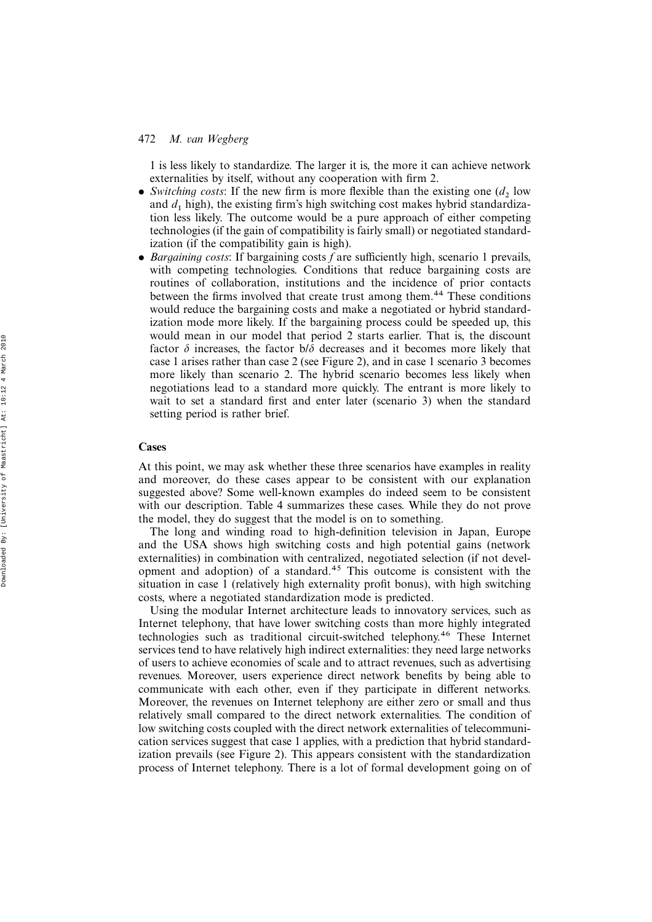1 is less likely to standardize. The larger it is, the more it can achieve network externalities by itself, without any cooperation with firm 2.

- *Switching costs*: If the new firm is more flexible than the existing one  $(d_2$  low and  $d_1$  high), the existing firm's high switching cost makes hybrid standardiza-<br>tion loss likely. The outcome would be a nure annoaceh of either compating tion less likely. The outcome would be a pure approach of either competing technologies (if the gain of compatibility is fairly small) or negotiated standardization (if the compatibility gain is high).
- *Bargaining costs*: If bargaining costs *f* are sufficiently high, scenario 1 prevails, with competing technologies. Conditions that reduce bargaining costs are routines of collaboration, institutions and the incidence of prior contacts between the firms involved that create trust among them.44 These conditions would reduce the bargaining costs and make a negotiated or hybrid standardization mode more likely. If the bargaining process could be speeded up, this would mean in our model that period 2 starts earlier. That is, the discount factor  $\delta$  increases, the factor b/ $\delta$  decreases and it becomes more likely that case 1 arises rather than case 2 (see Figure 2), and in case 1 scenario 3 becomes more likely than scenario 2. The hybrid scenario becomes less likely when negotiations lead to a standard more quickly. The entrant is more likely to wait to set a standard first and enter later (scenario 3) when the standard setting period is rather brief.

### **Cases**

At this point, we may ask whether these three scenarios have examples in reality and moreover, do these cases appear to be consistent with our explanation suggested above? Some well-known examples do indeed seem to be consistent with our description. Table 4 summarizes these cases. While they do not prove the model, they do suggest that the model is on to something.

The long and winding road to high-definition television in Japan, Europe and the USA shows high switching costs and high potential gains (network externalities) in combination with centralized, negotiated selection (if not development and adoption) of a standard.<sup>45</sup> This outcome is consistent with the situation in case 1 (relatively high externality profit bonus), with high switching costs, where a negotiated standardization mode is predicted.

Using the modular Internet architecture leads to innovatory services, such as Internet telephony, that have lower switching costs than more highly integrated technologies such as traditional circuit-switched telephony.46 These Internet services tend to have relatively high indirect externalities: they need large networks of users to achieve economies of scale and to attract revenues, such as advertising revenues. Moreover, users experience direct network benefits by being able to communicate with each other, even if they participate in di fferent networks. Moreover, the revenues on Internet telephony are either zero or small and thus relatively small compared to the direct network externalities. The condition of low switching costs coupled with the direct network externalities of telecommunication services suggest that case 1 applies, with a prediction that hybrid standardization prevails (see Figure 2). This appears consistent with the standardization process of Internet telephony. There is a lot of formal development going on of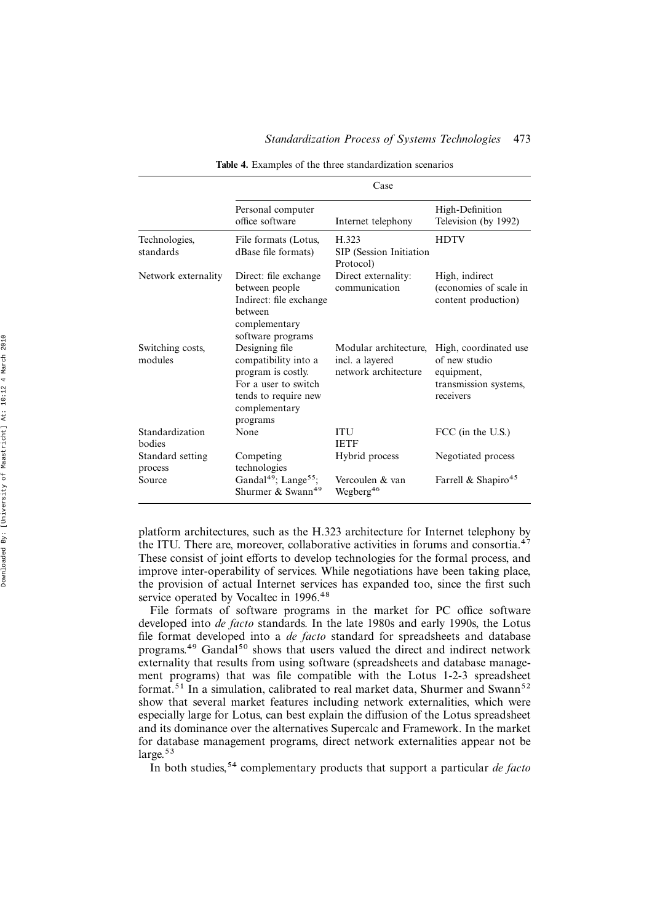|                             | Case                                                                                                                                      |                                                                  |                                                                                            |
|-----------------------------|-------------------------------------------------------------------------------------------------------------------------------------------|------------------------------------------------------------------|--------------------------------------------------------------------------------------------|
|                             | Personal computer<br>office software                                                                                                      | Internet telephony                                               | High-Definition<br>Television (by 1992)                                                    |
| Technologies,<br>standards  | File formats (Lotus,<br>dBase file formats)                                                                                               | H 323<br>SIP (Session Initiation<br>Protocol)                    | <b>HDTV</b>                                                                                |
| Network externality         | Direct: file exchange<br>between people<br>Indirect: file exchange<br>hetween<br>complementary<br>software programs                       | Direct externality:<br>communication                             | High, indirect<br>(economies of scale in<br>content production)                            |
| Switching costs,<br>modules | Designing file<br>compatibility into a<br>program is costly.<br>For a user to switch<br>tends to require new<br>complementary<br>programs | Modular architecture,<br>incl. a layered<br>network architecture | High, coordinated use<br>of new studio<br>equipment,<br>transmission systems,<br>receivers |
| Standardization<br>bodies   | None                                                                                                                                      | <b>ITU</b><br><b>IETF</b>                                        | FCC (in the $U.S.$ )                                                                       |
| Standard setting<br>process | Competing<br>technologies                                                                                                                 | Hybrid process                                                   | Negotiated process                                                                         |
| Source                      | Gandal <sup>49</sup> ; Lange <sup>55</sup> ;<br>Shurmer & Swann <sup>49</sup>                                                             | Vercoulen & van<br>Wegberg <sup>46</sup>                         | Farrell & Shapiro <sup>45</sup>                                                            |

**Table 4.** Examples of the three standardization scenarios

platform architectures, such as the H.323 architecture for Internet telephony by the ITU. There are, moreover, collaborative activities in forums and consortia.<sup>47</sup> These consist of joint e fforts to develop technologies for the formal process, and improve inter-operability of services. While negotiations have been taking place, the provision of actual Internet services has expanded too, since the first such service operated by Vocaltec in 1996.<sup>48</sup>

File formats of software programs in the market for PC o ffice software developed into *de facto* standards. In the late 1980s and early 1990s, the Lotus file format developed into a *de facto* standard for spreadsheets and database programs.<sup>49</sup> Gandal<sup>50</sup> shows that users valued the direct and indirect network externality that results from using software (spreadsheets and database management programs) that was file compatible with the Lotus 1-2-3 spreadsheet format.<sup>51</sup> In a simulation, calibrated to real market data, Shurmer and Swann<sup>52</sup> show that several market features including network externalities, which were especially large for Lotus, can best explain the di ffusion of the Lotus spreadsheet and its dominance over the alternatives Supercalc and Framework. In the market for database management programs, direct network externalities appear not be  $large.$ <sup>53</sup>

In both studies,54 complementary products that support a particular *de facto*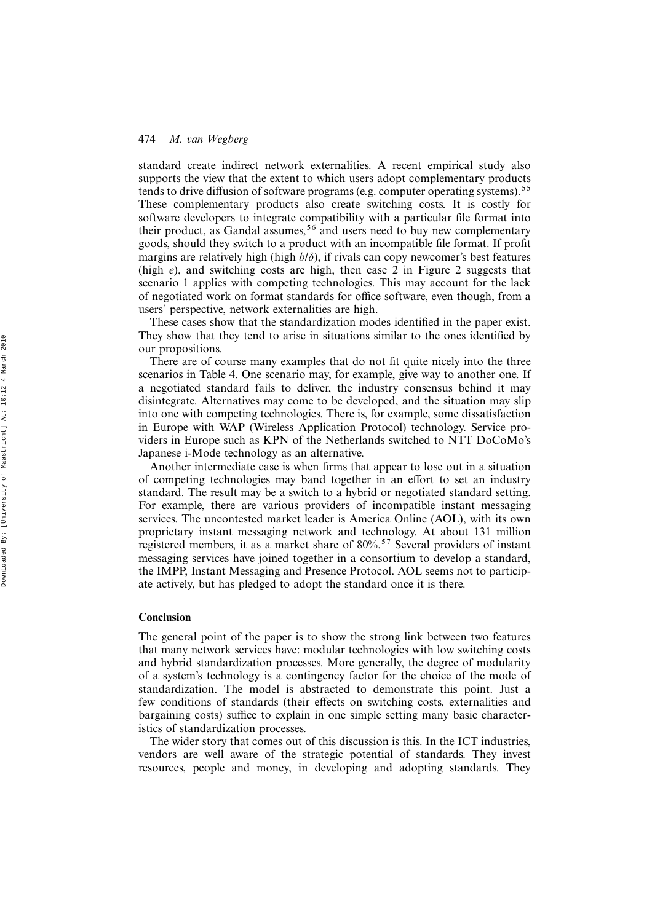standard create indirect network externalities. A recent empirical study also supports the view that the extent to which users adopt complementary products tends to drive diffusion of software programs (e.g. computer operating systems).<sup>55</sup> These complementary products also create switching costs. It is costly for software developers to integrate compatibility with a particular file format into their product, as Gandal assumes,<sup>56</sup> and users need to buy new complementary goods, should they switch to a product with an incompatible file format. If profit margins are relatively high (high  $b/\delta$ ), if rivals can copy newcomer's best features (high *e*), and switching costs are high, then case 2 in Figure 2 suggests that scenario 1 applies with competing technologies. This may account for the lack of negotiated work on format standards for o ffice software, even though, from a users' perspective, network externalities are high.

These cases show that the standardization modes identified in the paper exist. They show that they tend to arise in situations similar to the ones identified by our propositions.

There are of course many examples that do not fit quite nicely into the three scenarios in Table 4. One scenario may, for example, give way to another one. If a negotiated standard fails to deliver, the industry consensus behind it may disintegrate. Alternatives may come to be developed, and the situation may slip into one with competing technologies. There is, for example, some dissatisfaction in Europe with WAP (Wireless Application Protocol) technology. Service providers in Europe such as KPN of the Netherlands switched to NTT DoCoMo's Japanese i-Mode technology as an alternative.

Another intermediate case is when firms that appear to lose out in a situation of competing technologies may band together in an e ffort to set an industry standard. The result may be a switch to a hybrid or negotiated standard setting. For example, there are various providers of incompatible instant messaging services. The uncontested market leader is America Online (AOL), with its own proprietary instant messaging network and technology. At about 131 million registered members, it as a market share of 80%.57 Several providers of instant messaging services have joined together in a consortium to develop a standard, the IMPP, Instant Messaging and Presence Protocol. AOL seems not to participate actively, but has pledged to adopt the standard once it is there.

### **Conclusion**

The general point of the paper is to show the strong link between two features that many network services have: modular technologies with low switching costs and hybrid standardization processes. More generally, the degree of modularity of a system's technology is a contingency factor for the choice of the mode of standardization. The model is abstracted to demonstrate this point. Just a few conditions of standards (their e ffects on switching costs, externalities and bargaining costs) su ffice to explain in one simple setting many basic characteristics of standardization processes.

The wider story that comes out of this discussion is this. In the ICT industries, vendors are well aware of the strategic potential of standards. They invest resources, people and money, in developing and adopting standards. They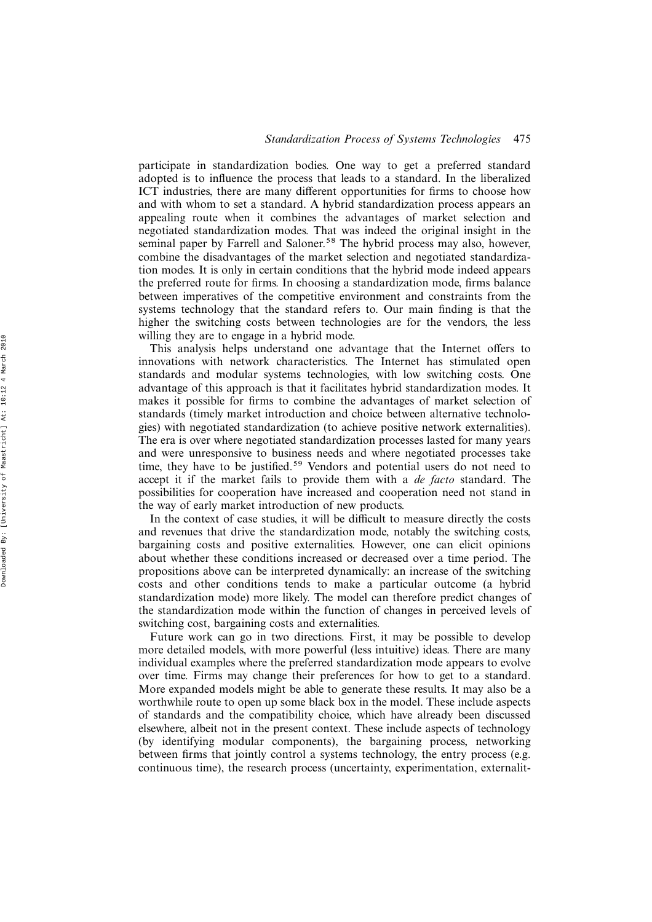participate in standardization bodies. One way to get a preferred standard adopted is to influence the process that leads to a standard. In the liberalized ICT industries, there are many di fferent opportunities for firms to choose how and with whom to set a standard. A hybrid standardization process appears an appealing route when it combines the advantages of market selection and negotiated standardization modes. That was indeed the original insight in the seminal paper by Farrell and Saloner.<sup>58</sup> The hybrid process may also, however, combine the disadvantages of the market selection and negotiated standardization modes. It is only in certain conditions that the hybrid mode indeed appears the preferred route for firms. In choosing a standardization mode, firms balance between imperatives of the competitive environment and constraints from the systems technology that the standard refers to. Our main finding is that the higher the switching costs between technologies are for the vendors, the less willing they are to engage in a hybrid mode.

This analysis helps understand one advantage that the Internet o ffers to innovations with network characteristics. The Internet has stimulated open standards and modular systems technologies, with low switching costs. One advantage of this approach is that it facilitates hybrid standardization modes. It makes it possible for firms to combine the advantages of market selection of standards (timely market introduction and choice between alternative technologies) with negotiated standardization (to achieve positive network externalities). The era is over where negotiated standardization processes lasted for many years and were unresponsive to business needs and where negotiated processes take time, they have to be justified.<sup>59</sup> Vendors and potential users do not need to accept it if the market fails to provide them with a *de facto* standard. The possibilities for cooperation have increased and cooperation need not stand in the way of early market introduction of new products.

In the context of case studies, it will be di fficult to measure directly the costs and revenues that drive the standardization mode, notably the switching costs, bargaining costs and positive externalities. However, one can elicit opinions about whether these conditions increased or decreased over a time period. The propositions above can be interpreted dynamically: an increase of the switching costs and other conditions tends to make a particular outcome (a hybrid standardization mode) more likely. The model can therefore predict changes of the standardization mode within the function of changes in perceived levels of switching cost, bargaining costs and externalities.

Future work can go in two directions. First, it may be possible to develop more detailed models, with more powerful (less intuitive) ideas. There are many individual examples where the preferred standardization mode appears to evolve over time. Firms may change their preferences for how to get to a standard. More expanded models might be able to generate these results. It may also be a worthwhile route to open up some black box in the model. These include aspects of standards and the compatibility choice, which have already been discussed elsewhere, albeit not in the present context. These include aspects of technology (by identifying modular components), the bargaining process, networking between firms that jointly control a systems technology, the entry process (e.g. continuous time), the research process (uncertainty, experimentation, externalit-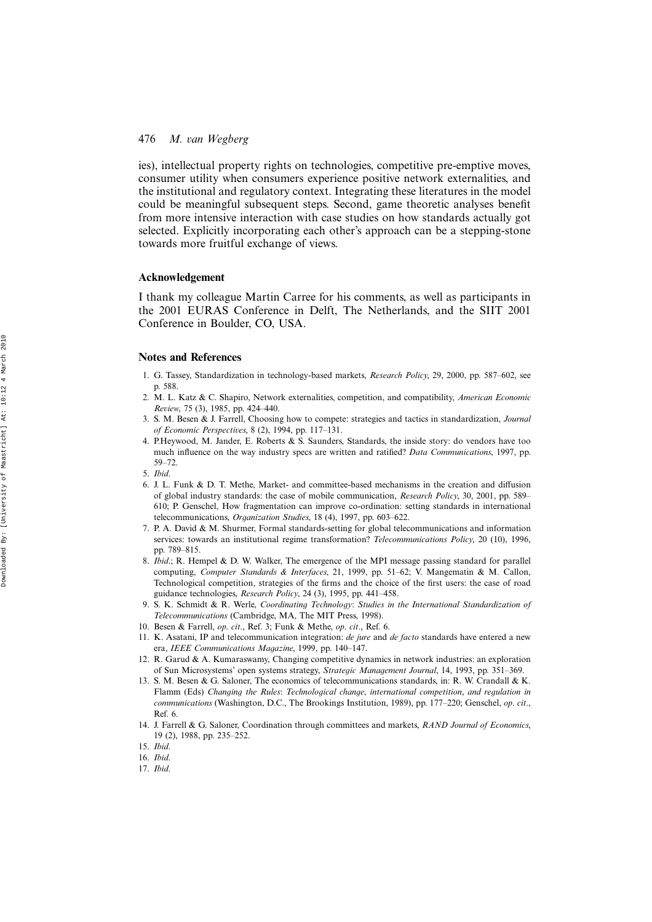ies), intellectual property rights on technologies, competitive pre-emptive moves, consumer utility when consumers experience positive network externalities, and the institutional and regulatory context. Integrating these literatures in the model could be meaningful subsequent steps. Second, game theoretic analyses benefit from more intensive interaction with case studies on how standards actually got selected. Explicitly incorporating each other's approach can be a stepping-stone towards more fruitful exchange of views.

### **Acknowledgement**

I thank my colleague Martin Carree for his comments, as well as participants in the 2001 EURAS Conference in Delft, The Netherlands, and the SIIT 2001 Conference in Boulder, CO, USA.

### **Notes and References**

- 1. G. Tassey, Standardization in technology-based markets, *Research Policy*, 29, 2000, pp. 587–602, see p. 588.
- 2. M. L. Katz & C. Shapiro, Network externalities, competition, and compatibility, *American Economic Re* v*iew*, 75 (3), 1985, pp. 424–440.
- 3. S. M. Besen & J. Farrell, Choosing how to compete: strategies and tactics in standardization, *Journal of Economic Perspecti* v*es*, 8 (2), 1994, pp. 117–131.
- 4. P.Heywood, M. Jander, E. Roberts & S. Saunders, Standards, the inside story: do vendors have too much influence on the way industry specs are written and ratified? *Data Communications*, 1997, pp. 59–72.
- 5. *Ibid* .
- 6. J. L. Funk & D. T. Methe, Market- and committee-based mechanisms in the creation and di ffusion of global industry standards: the case of mobile communication, *Research Policy*, 30, 2001, pp. 589– 610; P. Genschel, How fragmentation can improve co-ordination: setting standards in international telecommunications, *Or* g*anization Studies*, 18 (4), 1997, pp. 603–622.
- 7. P. A. David & M. Shurmer, Formal standards-setting for global telecommunications and information services: towards an institutional regime transformation? *Telecommunications Policy*, 20 (10), 1996, pp. 789–815.
- 8. *Ibid*.; R. Hempel & D. W. Walker, The emergence of the MPI message passing standard for parallel computing, *Computer Standards & Interfaces*, 21, 1999, pp. 51–62; V. Mangematin & M. Callon, Technological competition, strategies of the firms and the choice of the first users: the case of road guidance technologies, *Research Policy*, 24 (3), 1995, pp. 441–458.
- 9. S. K. Schmidt & R. Werle, *Coordinatin* g *Technolo* g*y* : *Studies in the International Standardization of Telecommunications* (Cambridge, MA, The MIT Press, 1998).
- 10. Besen & Farrell, *op* . *cit*., Ref. 3; Funk & Methe, *op* . *cit*., Ref. 6.
- 11. K. Asatani, IP and telecommunication integration: *de jure* and *de facto* standards have entered a new era, *IEEE Communications Ma* g*azine*, 1999, pp. 140–147.
- 12. R. Garud & A. Kumaraswamy, Changing competitive dynamics in network industries: an exploration of Sun Microsystems' open systems strategy, *Strate* g*ic Mana* g*ement Journal*, 14, 1993, pp. 351–369.
- 13. S. M. Besen & G. Saloner, The economics of telecommunications standards, in: R. W. Crandall & K. Flamm (Eds) *Changing the Rules: Technological change, international competition, and regulation in communications* (Washington, D.C., The Brookings Institution, 1989), pp. 177–220; Genschel, *op* . *cit*., Ref. 6.
- 14. J. Farrell & G. Saloner, Coordination through committees and markets, *RAND Journal of Economics* , 19 (2), 1988, pp. 235–252.
- 15. *Ibid* .
- 16. *Ibid* .
- 17. *Ibid* .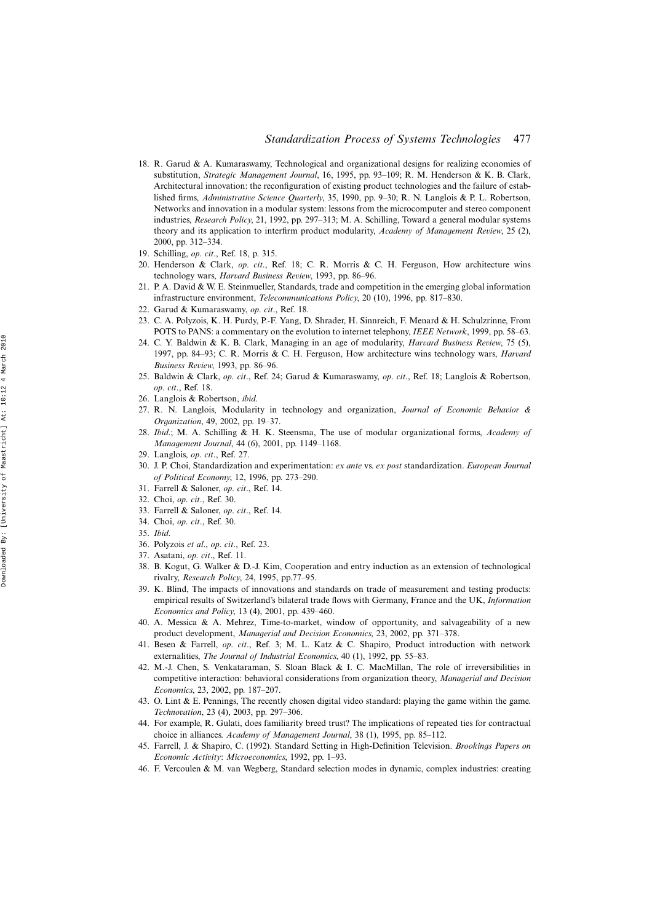- 18. R. Garud & A. Kumaraswamy, Technological and organizational designs for realizing economies of substitution, *Strate* g*ic Mana* g*ement Journal*, 16, 1995, pp. 93–109; R. M. Henderson & K. B. Clark, Architectural innovation: the reconfiguration of existing product technologies and the failure of established firms, *Administrati*v*e Science Quarterly*, 35, 1990, pp. 9–30; R. N. Langlois & P. L. Robertson, Networks and innovation in a modular system: lessons from the microcomputer and stereo component industries, *Research Policy*, 21, 1992, pp. 297–313; M. A. Schilling, Toward a general modular systems theory and its application to interfirm product modularity, *Academy of Mana* g*ement Re* v*iew*, 25 (2), 2000, pp. 312–334.
- 19. Schilling, *op* . *cit*., Ref. 18, p. 315.
- 20. Henderson & Clark, *op* . *cit*., Ref. 18; C. R. Morris & C. H. Ferguson, How architecture wins technology wars, *Har* v*ard Business Re* v*iew*, 1993, pp. 86–96.
- 21. P. A. David & W. E. Steinmueller, Standards, trade and competition in the emerging global information infrastructure environment, *Telecommunications Policy*, 20 (10), 1996, pp. 817–830.
- 22. Garud & Kumaraswamy, *op* . *cit*., Ref. 18.
- 23. C. A. Polyzois, K. H. Purdy, P.-F. Yang, D. Shrader, H. Sinnreich, F. Menard & H. Schulzrinne, From POTS to PANS: a commentary on the evolution to internet telephony, *IEEE Network*, 1999, pp. 58–63.
- 24. C. Y. Baldwin & K. B. Clark, Managing in an age of modularity, *Har* v*ard Business Re* v*iew*, 75 (5), 1997, pp. 84–93; C. R. Morris & C. H. Ferguson, How architecture wins technology wars, *Harvard Business Re* v*iew*, 1993, pp. 86–96.
- 25. Baldwin & Clark, *op* . *cit*., Ref. 24; Garud & Kumaraswamy, *op* . *cit*., Ref. 18; Langlois & Robertson, *op* . *cit*., Ref. 18.
- 26. Langlois & Robertson, *ibid* .
- 27. R. N. Langlois, Modularity in technology and organization, *Journal of Economic Beha* v*ior & Or* g*anization*, 49, 2002, pp. 19–37.
- 28. *Ibid*.; M. A. Schilling & H. K. Steensma, The use of modular organizational forms, *Academy of Mana* g*ement Journal*, 44 (6), 2001, pp. 1149–1168.
- 29. Langlois, *op* . *cit*., Ref. 27.
- 30. J. P. Choi, Standardization and experimentation: *ex ante* vs. *ex post* standardization. *European Journal of Political Economy*, 12, 1996, pp. 273–290.
- 31. Farrell & Saloner, *op* . *cit*., Ref. 14.
- 32. Choi, *op* . *cit*., Ref. 30.
- 33. Farrell & Saloner, *op* . *cit*., Ref. 14.
- 34. Choi, *op* . *cit*., Ref. 30.
- 35. *Ibid* .
- 36. Polyzois *et al*., *op* . *cit*., Ref. 23.
- 37. Asatani, *op* . *cit*., Ref. 11.
- 38. B. Kogut, G. Walker & D.-J. Kim, Cooperation and entry induction as an extension of technological rivalry, *Research Policy*, 24, 1995, pp.77–95.
- 39. K. Blind, The impacts of innovations and standards on trade of measurement and testing products: empirical results of Switzerland's bilateral trade flows with Germany, France and the UK, *Information Economics and Policy*, 13 (4), 2001, pp. 439–460.
- 40. A. Messica & A. Mehrez, Time-to-market, window of opportunity, and salvageability of a new product development, *Mana* g*erial and Decision Economics*, 23, 2002, pp. 371–378.
- 41. Besen & Farrell, *op* . *cit*., Ref. 3; M. L. Katz & C. Shapiro, Product introduction with network externalities, *The Journal of Industrial Economics*, 40 (1), 1992, pp. 55–83.
- 42. M.-J. Chen, S. Venkataraman, S. Sloan Black & I. C. MacMillan, The role of irreversibilities in competitive interaction: behavioral considerations from organization theory, *Mana* g*erial and Decision Economics*, 23, 2002, pp. 187–207.
- 43. O. Lint & E. Pennings, The recently chosen digital video standard: playing the game within the game. *Techno* v*ation*, 23 (4), 2003, pp. 297–306.
- 44. For example, R. Gulati, does familiarity breed trust? The implications of repeated ties for contractual choice in alliances. *Academy of Mana* g*ement Journal*, 38 (1), 1995, pp. 85–112.
- 45. Farrell, J. & Shapiro, C. (1992). Standard Setting in High-Definition Television. *Brookin* g*s Papers on* Economic Activity: Microeconomics, 1992, pp. 1-93.
- 46. F. Vercoulen & M. van Wegberg, Standard selection modes in dynamic, complex industries: creating